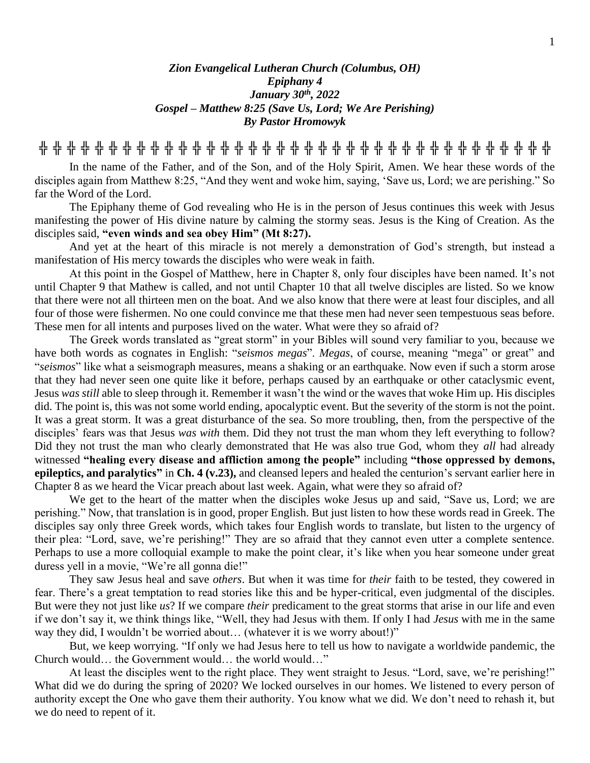## *Zion Evangelical Lutheran Church (Columbus, OH) Epiphany 4 January 30th , 2022 Gospel – Matthew 8:25 (Save Us, Lord; We Are Perishing) By Pastor Hromowyk*

**╬ ╬ ╬ ╬ ╬ ╬ ╬ ╬ ╬ ╬ ╬ ╬ ╬ ╬ ╬ ╬ ╬ ╬ ╬ ╬ ╬ ╬ ╬ ╬ ╬ ╬ ╬ ╬ ╬ ╬ ╬ ╬ ╬ ╬ ╬ ╬ ╬**

In the name of the Father, and of the Son, and of the Holy Spirit, Amen. We hear these words of the disciples again from Matthew 8:25, "And they went and woke him, saying, 'Save us, Lord; we are perishing." So far the Word of the Lord.

The Epiphany theme of God revealing who He is in the person of Jesus continues this week with Jesus manifesting the power of His divine nature by calming the stormy seas. Jesus is the King of Creation. As the disciples said, **"even winds and sea obey Him" (Mt 8:27).**

And yet at the heart of this miracle is not merely a demonstration of God's strength, but instead a manifestation of His mercy towards the disciples who were weak in faith.

At this point in the Gospel of Matthew, here in Chapter 8, only four disciples have been named. It's not until Chapter 9 that Mathew is called, and not until Chapter 10 that all twelve disciples are listed. So we know that there were not all thirteen men on the boat. And we also know that there were at least four disciples, and all four of those were fishermen. No one could convince me that these men had never seen tempestuous seas before. These men for all intents and purposes lived on the water. What were they so afraid of?

The Greek words translated as "great storm" in your Bibles will sound very familiar to you, because we have both words as cognates in English: "*seismos megas*". *Megas*, of course, meaning "mega" or great" and "*seismos*" like what a seismograph measures, means a shaking or an earthquake. Now even if such a storm arose that they had never seen one quite like it before, perhaps caused by an earthquake or other cataclysmic event, Jesus *was still* able to sleep through it. Remember it wasn't the wind or the waves that woke Him up. His disciples did. The point is, this was not some world ending, apocalyptic event. But the severity of the storm is not the point. It was a great storm. It was a great disturbance of the sea. So more troubling, then, from the perspective of the disciples' fears was that Jesus *was with* them. Did they not trust the man whom they left everything to follow? Did they not trust the man who clearly demonstrated that He was also true God, whom they *all* had already witnessed **"healing every disease and affliction among the people"** including **"those oppressed by demons, epileptics, and paralytics"** in **Ch. 4 (v.23),** and cleansed lepers and healed the centurion's servant earlier here in Chapter 8 as we heard the Vicar preach about last week. Again, what were they so afraid of?

We get to the heart of the matter when the disciples woke Jesus up and said, "Save us, Lord; we are perishing." Now, that translation is in good, proper English. But just listen to how these words read in Greek. The disciples say only three Greek words, which takes four English words to translate, but listen to the urgency of their plea: "Lord, save, we're perishing!" They are so afraid that they cannot even utter a complete sentence. Perhaps to use a more colloquial example to make the point clear, it's like when you hear someone under great duress yell in a movie, "We're all gonna die!"

They saw Jesus heal and save *others*. But when it was time for *their* faith to be tested, they cowered in fear. There's a great temptation to read stories like this and be hyper-critical, even judgmental of the disciples. But were they not just like *us*? If we compare *their* predicament to the great storms that arise in our life and even if we don't say it, we think things like, "Well, they had Jesus with them. If only I had *Jesus* with me in the same way they did, I wouldn't be worried about… (whatever it is we worry about!)"

But, we keep worrying. "If only we had Jesus here to tell us how to navigate a worldwide pandemic, the Church would… the Government would… the world would…"

At least the disciples went to the right place. They went straight to Jesus. "Lord, save, we're perishing!" What did we do during the spring of 2020? We locked ourselves in our homes. We listened to every person of authority except the One who gave them their authority. You know what we did. We don't need to rehash it, but we do need to repent of it.